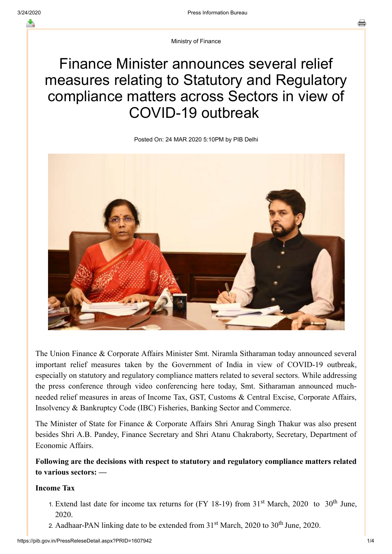Ministry of Finance

# Finance Minister announces several relief measures relating to Statutory and Regulatory compliance matters across Sectors in view of COVID-19 outbreak

Posted On: 24 MAR 2020 5:10PM by PIB Delhi



The Union Finance & Corporate Affairs Minister Smt. Niramla Sitharaman today announced several important relief measures taken by the Government of India in view of COVID-19 outbreak, especially on statutory and regulatory compliance matters related to several sectors. While addressing the press conference through video conferencing here today, Smt. Sitharaman announced muchneeded relief measures in areas of Income Tax, GST, Customs & Central Excise, Corporate Affairs, Insolvency & Bankruptcy Code (IBC) Fisheries, Banking Sector and Commerce.

The Minister of State for Finance & Corporate Affairs Shri Anurag Singh Thakur was also present besides Shri A.B. Pandey, Finance Secretary and Shri Atanu Chakraborty, Secretary, Department of Economic Affairs.

**Following are the decisions with respect to statutory and regulatory compliance matters related to various sectors: —**

## **Income Tax**

- 1. Extend last date for income tax returns for (FY 18-19) from  $31<sup>st</sup>$  March, 2020 to  $30<sup>th</sup>$  June, 2020.
- 2. Aadhaar-PAN linking date to be extended from  $31<sup>st</sup>$  March, 2020 to  $30<sup>th</sup>$  June, 2020.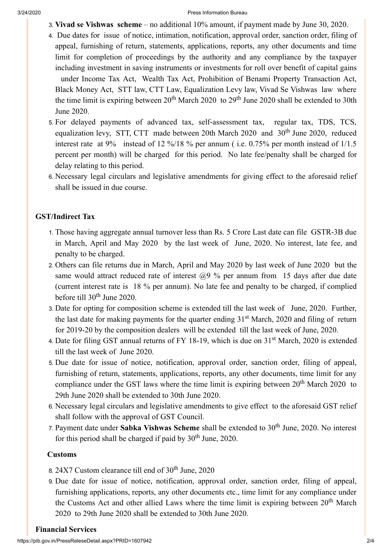- 3. **Vivad se Vishwas scheme** no additional 10% amount, if payment made by June 30, 2020.
- 4. Due dates for issue of notice, intimation, notification, approval order, sanction order, filing of appeal, furnishing of return, statements, applications, reports, any other documents and time limit for completion of proceedings by the authority and any compliance by the taxpayer including investment in saving instruments or investments for roll over benefit of capital gains under Income Tax Act, Wealth Tax Act, Prohibition of Benami Property Transaction Act, Black Money Act, STT law, CTT Law, Equalization Levy law, Vivad Se Vishwas law where the time limit is expiring between  $20^{th}$  March  $2020$  to  $29^{th}$  June  $2020$  shall be extended to 30th June 2020.
- 5. For delayed payments of advanced tax, self-assessment tax, regular tax, TDS, TCS, equalization levy, STT, CTT made between 20th March 2020 and 30<sup>th</sup> June 2020, reduced interest rate at 9% instead of 12 %/18 % per annum ( i.e. 0.75% per month instead of 1/1.5 percent per month) will be charged for this period. No late fee/penalty shall be charged for delay relating to this period.
- 6. Necessary legal circulars and legislative amendments for giving effect to the aforesaid relief shall be issued in due course.

### **GST/Indirect Tax**

- 1. Those having aggregate annual turnover less than Rs. 5 Crore Last date can file GSTR-3B due in March, April and May 2020 by the last week of June, 2020. No interest, late fee, and penalty to be charged.
- 2. Others can file returns due in March, April and May 2020 by last week of June 2020 but the same would attract reduced rate of interest  $(20\%)$  per annum from 15 days after due date (current interest rate is 18 % per annum). No late fee and penalty to be charged, if complied before till  $30^{\text{th}}$  June 2020.
- 3. Date for opting for composition scheme is extended till the last week of June, 2020. Further, the last date for making payments for the quarter ending 31<sup>st</sup> March, 2020 and filing of return for 2019-20 by the composition dealers will be extended till the last week of June, 2020.
- 4. Date for filing GST annual returns of FY 18-19, which is due on 31<sup>st</sup> March, 2020 is extended till the last week of June 2020.
- 5. Due date for issue of notice, notification, approval order, sanction order, filing of appeal, furnishing of return, statements, applications, reports, any other documents, time limit for any compliance under the GST laws where the time limit is expiring between  $20<sup>th</sup>$  March 2020 to 29th June 2020 shall be extended to 30th June 2020.
- 6. Necessary legal circulars and legislative amendments to give effect to the aforesaid GST relief shall follow with the approval of GST Council.
- 7. Payment date under Sabka Vishwas Scheme shall be extended to 30<sup>th</sup> June, 2020. No interest for this period shall be charged if paid by  $30<sup>th</sup>$  June, 2020.

#### **Customs**

- 8.  $24X7$  Custom clearance till end of  $30<sup>th</sup>$  June,  $2020$
- 9. Due date for issue of notice, notification, approval order, sanction order, filing of appeal, furnishing applications, reports, any other documents etc., time limit for any compliance under the Customs Act and other allied Laws where the time limit is expiring between  $20<sup>th</sup>$  March 2020 to 29th June 2020 shall be extended to 30th June 2020.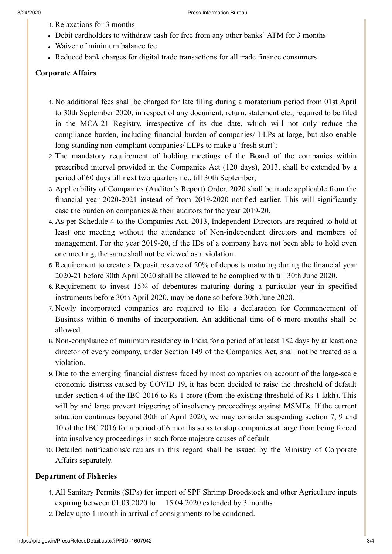- 1. Relaxations for 3 months
- Debit cardholders to withdraw cash for free from any other banks' ATM for 3 months
- Waiver of minimum balance fee
- Reduced bank charges for digital trade transactions for all trade finance consumers

## **Corporate Affairs**

- 1. No additional fees shall be charged for late filing during a moratorium period from 01st April to 30th September 2020, in respect of any document, return, statement etc., required to be filed in the MCA-21 Registry, irrespective of its due date, which will not only reduce the compliance burden, including financial burden of companies/ LLPs at large, but also enable long-standing non-compliant companies/ LLPs to make a 'fresh start';
- 2. The mandatory requirement of holding meetings of the Board of the companies within prescribed interval provided in the Companies Act (120 days), 2013, shall be extended by a period of 60 days till next two quarters i.e., till 30th September;
- 3. Applicability of Companies (Auditor's Report) Order, 2020 shall be made applicable from the financial year 2020-2021 instead of from 2019-2020 notified earlier. This will significantly ease the burden on companies & their auditors for the year 2019-20.
- 4. As per Schedule 4 to the Companies Act, 2013, Independent Directors are required to hold at least one meeting without the attendance of Non-independent directors and members of management. For the year 2019-20, if the IDs of a company have not been able to hold even one meeting, the same shall not be viewed as a violation.
- 5. Requirement to create a Deposit reserve of 20% of deposits maturing during the financial year 2020-21 before 30th April 2020 shall be allowed to be complied with till 30th June 2020.
- 6. Requirement to invest 15% of debentures maturing during a particular year in specified instruments before 30th April 2020, may be done so before 30th June 2020.
- 7. Newly incorporated companies are required to file a declaration for Commencement of Business within 6 months of incorporation. An additional time of 6 more months shall be allowed.
- 8. Non-compliance of minimum residency in India for a period of at least 182 days by at least one director of every company, under Section 149 of the Companies Act, shall not be treated as a violation.
- 9. Due to the emerging financial distress faced by most companies on account of the large-scale economic distress caused by COVID 19, it has been decided to raise the threshold of default under section 4 of the IBC 2016 to Rs 1 crore (from the existing threshold of Rs 1 lakh). This will by and large prevent triggering of insolvency proceedings against MSMEs. If the current situation continues beyond 30th of April 2020, we may consider suspending section 7, 9 and 10 of the IBC 2016 for a period of 6 months so as to stop companies at large from being forced into insolvency proceedings in such force majeure causes of default.
- 10. Detailed notifications/circulars in this regard shall be issued by the Ministry of Corporate Affairs separately.

## **Department of Fisheries**

- 1. All Sanitary Permits (SIPs) for import of SPF Shrimp Broodstock and other Agriculture inputs expiring between 01.03.2020 to 15.04.2020 extended by 3 months
- 2. Delay upto 1 month in arrival of consignments to be condoned.